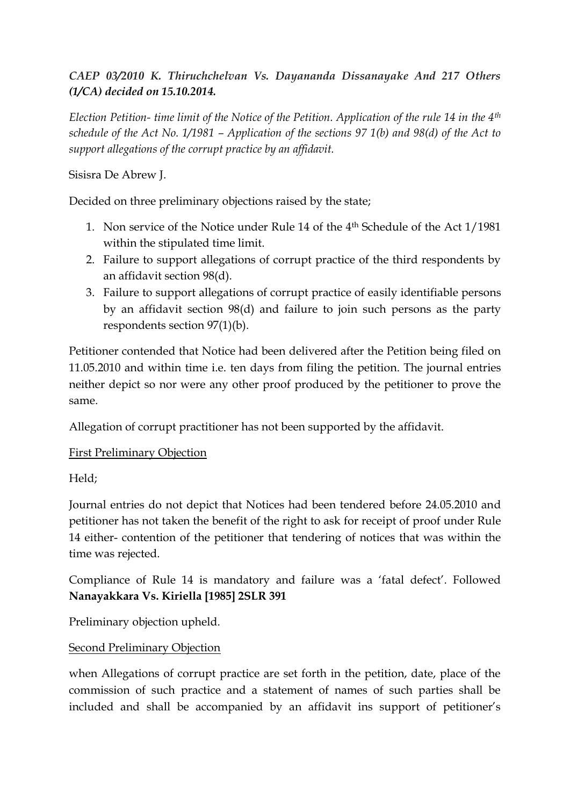# *CAEP 03/2010 K. Thiruchchelvan Vs. Dayananda Dissanayake And 217 Others (1/CA) decided on 15.10.2014.*

*Election Petition- time limit of the Notice of the Petition. Application of the rule 14 in the 4th schedule of the Act No. 1/1981 – Application of the sections 97 1(b) and 98(d) of the Act to support allegations of the corrupt practice by an affidavit.*

#### Sisisra De Abrew J.

Decided on three preliminary objections raised by the state;

- 1. Non service of the Notice under Rule 14 of the 4th Schedule of the Act 1/1981 within the stipulated time limit.
- 2. Failure to support allegations of corrupt practice of the third respondents by an affidavit section 98(d).
- 3. Failure to support allegations of corrupt practice of easily identifiable persons by an affidavit section 98(d) and failure to join such persons as the party respondents section 97(1)(b).

Petitioner contended that Notice had been delivered after the Petition being filed on 11.05.2010 and within time i.e. ten days from filing the petition. The journal entries neither depict so nor were any other proof produced by the petitioner to prove the same.

Allegation of corrupt practitioner has not been supported by the affidavit.

### First Preliminary Objection

Held;

Journal entries do not depict that Notices had been tendered before 24.05.2010 and petitioner has not taken the benefit of the right to ask for receipt of proof under Rule 14 either- contention of the petitioner that tendering of notices that was within the time was rejected.

Compliance of Rule 14 is mandatory and failure was a 'fatal defect'. Followed **Nanayakkara Vs. Kiriella [1985] 2SLR 391**

Preliminary objection upheld.

### Second Preliminary Objection

when Allegations of corrupt practice are set forth in the petition, date, place of the commission of such practice and a statement of names of such parties shall be included and shall be accompanied by an affidavit ins support of petitioner's